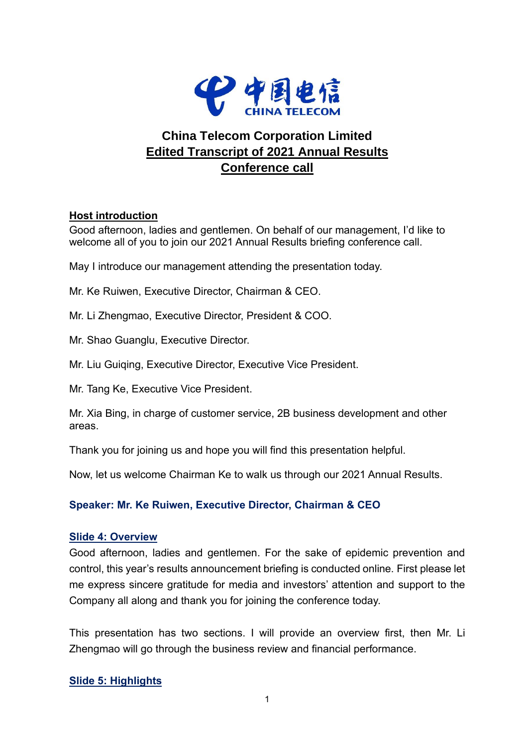

# **China Telecom Corporation Limited Edited Transcript of 2021 Annual Results Conference call**

## **Host introduction**

Good afternoon, ladies and gentlemen. On behalf of our management, I'd like to welcome all of you to join our 2021 Annual Results briefing conference call.

May I introduce our management attending the presentation today.

Mr. Ke Ruiwen, Executive Director, Chairman & CEO.

Mr. Li Zhengmao, Executive Director, President & COO.

Mr. Shao Guanglu, Executive Director.

Mr. Liu Guiqing, Executive Director, Executive Vice President.

Mr. Tang Ke, Executive Vice President.

Mr. Xia Bing, in charge of customer service, 2B business development and other areas.

Thank you for joining us and hope you will find this presentation helpful.

Now, let us welcome Chairman Ke to walk us through our 2021 Annual Results.

### **Speaker: Mr. Ke Ruiwen, Executive Director, Chairman & CEO**

#### **Slide 4: Overview**

Good afternoon, ladies and gentlemen. For the sake of epidemic prevention and control, this year's results announcement briefing is conducted online. First please let me express sincere gratitude for media and investors' attention and support to the Company all along and thank you for joining the conference today.

This presentation has two sections. I will provide an overview first, then Mr. Li Zhengmao will go through the business review and financial performance.

### **Slide 5: Highlights**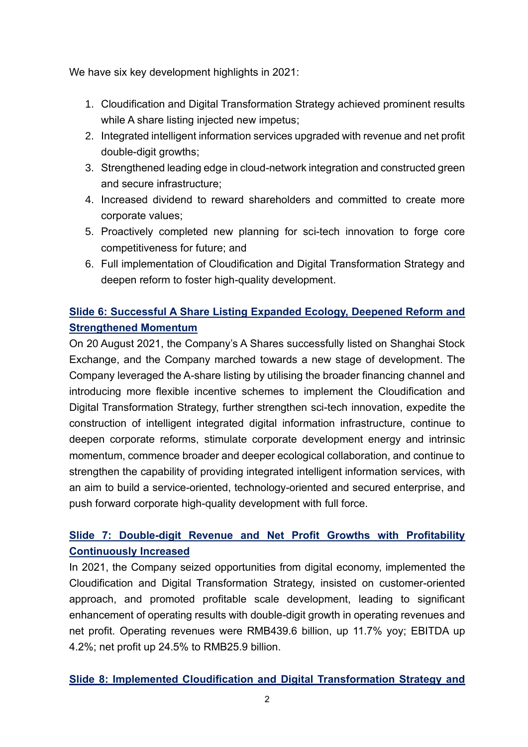We have six key development highlights in 2021:

- 1. Cloudification and Digital Transformation Strategy achieved prominent results while A share listing injected new impetus;
- 2. Integrated intelligent information services upgraded with revenue and net profit double-digit growths;
- 3. Strengthened leading edge in cloud-network integration and constructed green and secure infrastructure;
- 4. Increased dividend to reward shareholders and committed to create more corporate values;
- 5. Proactively completed new planning for sci-tech innovation to forge core competitiveness for future; and
- 6. Full implementation of Cloudification and Digital Transformation Strategy and deepen reform to foster high-quality development.

# **Slide 6: Successful A Share Listing Expanded Ecology, Deepened Reform and Strengthened Momentum**

On 20 August 2021, the Company's A Shares successfully listed on Shanghai Stock Exchange, and the Company marched towards a new stage of development. The Company leveraged the A-share listing by utilising the broader financing channel and introducing more flexible incentive schemes to implement the Cloudification and Digital Transformation Strategy, further strengthen sci-tech innovation, expedite the construction of intelligent integrated digital information infrastructure, continue to deepen corporate reforms, stimulate corporate development energy and intrinsic momentum, commence broader and deeper ecological collaboration, and continue to strengthen the capability of providing integrated intelligent information services, with an aim to build a service-oriented, technology-oriented and secured enterprise, and push forward corporate high-quality development with full force.

# **Slide 7: Double-digit Revenue and Net Profit Growths with Profitability Continuously Increased**

In 2021, the Company seized opportunities from digital economy, implemented the Cloudification and Digital Transformation Strategy, insisted on customer-oriented approach, and promoted profitable scale development, leading to significant enhancement of operating results with double-digit growth in operating revenues and net profit. Operating revenues were RMB439.6 billion, up 11.7% yoy; EBITDA up 4.2%; net profit up 24.5% to RMB25.9 billion.

## **Slide 8: Implemented Cloudification and Digital Transformation Strategy and**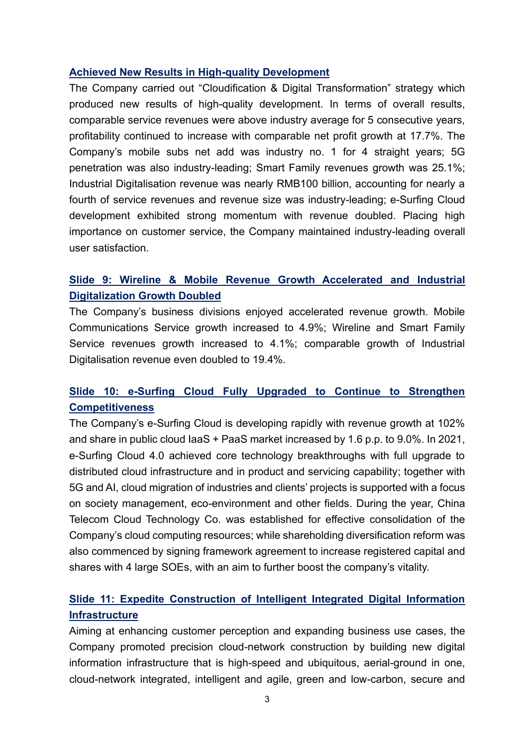### **Achieved New Results in High-quality Development**

The Company carried out "Cloudification & Digital Transformation" strategy which produced new results of high-quality development. In terms of overall results, comparable service revenues were above industry average for 5 consecutive years, profitability continued to increase with comparable net profit growth at 17.7%. The Company's mobile subs net add was industry no. 1 for 4 straight years; 5G penetration was also industry-leading; Smart Family revenues growth was 25.1%; Industrial Digitalisation revenue was nearly RMB100 billion, accounting for nearly a fourth of service revenues and revenue size was industry-leading; e-Surfing Cloud development exhibited strong momentum with revenue doubled. Placing high importance on customer service, the Company maintained industry-leading overall user satisfaction.

## **Slide 9: Wireline & Mobile Revenue Growth Accelerated and Industrial Digitalization Growth Doubled**

The Company's business divisions enjoyed accelerated revenue growth. Mobile Communications Service growth increased to 4.9%; Wireline and Smart Family Service revenues growth increased to 4.1%; comparable growth of Industrial Digitalisation revenue even doubled to 19.4%.

## **Slide 10: e-Surfing Cloud Fully Upgraded to Continue to Strengthen Competitiveness**

The Company's e-Surfing Cloud is developing rapidly with revenue growth at 102% and share in public cloud IaaS + PaaS market increased by 1.6 p.p. to 9.0%. In 2021, e-Surfing Cloud 4.0 achieved core technology breakthroughs with full upgrade to distributed cloud infrastructure and in product and servicing capability; together with 5G and AI, cloud migration of industries and clients' projects is supported with a focus on society management, eco-environment and other fields. During the year, China Telecom Cloud Technology Co. was established for effective consolidation of the Company's cloud computing resources; while shareholding diversification reform was also commenced by signing framework agreement to increase registered capital and shares with 4 large SOEs, with an aim to further boost the company's vitality.

## **Slide 11: Expedite Construction of Intelligent Integrated Digital Information Infrastructure**

Aiming at enhancing customer perception and expanding business use cases, the Company promoted precision cloud-network construction by building new digital information infrastructure that is high-speed and ubiquitous, aerial-ground in one, cloud-network integrated, intelligent and agile, green and low-carbon, secure and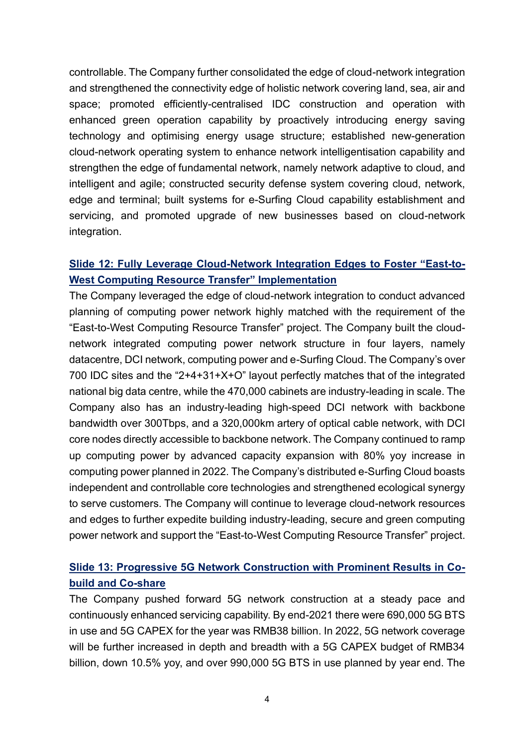controllable. The Company further consolidated the edge of cloud-network integration and strengthened the connectivity edge of holistic network covering land, sea, air and space; promoted efficiently-centralised IDC construction and operation with enhanced green operation capability by proactively introducing energy saving technology and optimising energy usage structure; established new-generation cloud-network operating system to enhance network intelligentisation capability and strengthen the edge of fundamental network, namely network adaptive to cloud, and intelligent and agile; constructed security defense system covering cloud, network, edge and terminal; built systems for e-Surfing Cloud capability establishment and servicing, and promoted upgrade of new businesses based on cloud-network integration.

## **Slide 12: Fully Leverage Cloud-Network Integration Edges to Foster "East-to-West Computing Resource Transfer" Implementation**

The Company leveraged the edge of cloud-network integration to conduct advanced planning of computing power network highly matched with the requirement of the "East-to-West Computing Resource Transfer" project. The Company built the cloudnetwork integrated computing power network structure in four layers, namely datacentre, DCI network, computing power and e-Surfing Cloud. The Company's over 700 IDC sites and the "2+4+31+X+O" layout perfectly matches that of the integrated national big data centre, while the 470,000 cabinets are industry-leading in scale. The Company also has an industry-leading high-speed DCI network with backbone bandwidth over 300Tbps, and a 320,000km artery of optical cable network, with DCI core nodes directly accessible to backbone network. The Company continued to ramp up computing power by advanced capacity expansion with 80% yoy increase in computing power planned in 2022. The Company's distributed e-Surfing Cloud boasts independent and controllable core technologies and strengthened ecological synergy to serve customers. The Company will continue to leverage cloud-network resources and edges to further expedite building industry-leading, secure and green computing power network and support the "East-to-West Computing Resource Transfer" project.

## **Slide 13: Progressive 5G Network Construction with Prominent Results in Cobuild and Co-share**

The Company pushed forward 5G network construction at a steady pace and continuously enhanced servicing capability. By end-2021 there were 690,000 5G BTS in use and 5G CAPEX for the year was RMB38 billion. In 2022, 5G network coverage will be further increased in depth and breadth with a 5G CAPEX budget of RMB34 billion, down 10.5% yoy, and over 990,000 5G BTS in use planned by year end. The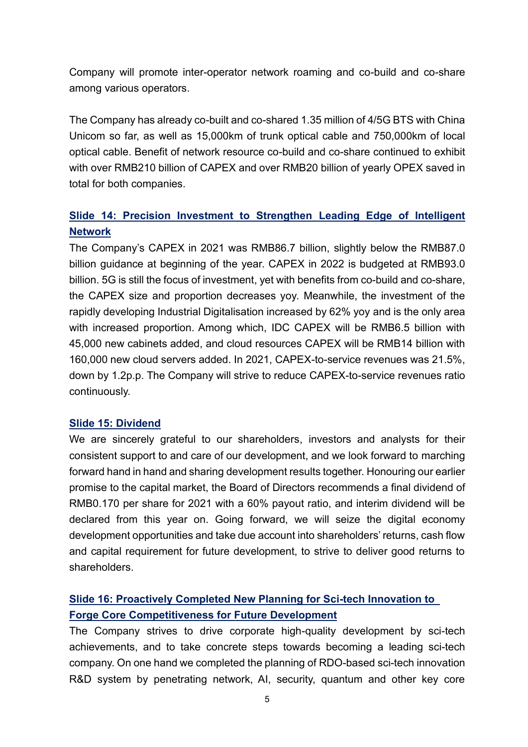Company will promote inter-operator network roaming and co-build and co-share among various operators.

The Company has already co-built and co-shared 1.35 million of 4/5G BTS with China Unicom so far, as well as 15,000km of trunk optical cable and 750,000km of local optical cable. Benefit of network resource co-build and co-share continued to exhibit with over RMB210 billion of CAPEX and over RMB20 billion of yearly OPEX saved in total for both companies.

## **Slide 14: Precision Investment to Strengthen Leading Edge of Intelligent Network**

The Company's CAPEX in 2021 was RMB86.7 billion, slightly below the RMB87.0 billion guidance at beginning of the year. CAPEX in 2022 is budgeted at RMB93.0 billion. 5G is still the focus of investment, yet with benefits from co-build and co-share, the CAPEX size and proportion decreases yoy. Meanwhile, the investment of the rapidly developing Industrial Digitalisation increased by 62% yoy and is the only area with increased proportion. Among which, IDC CAPEX will be RMB6.5 billion with 45,000 new cabinets added, and cloud resources CAPEX will be RMB14 billion with 160,000 new cloud servers added. In 2021, CAPEX-to-service revenues was 21.5%, down by 1.2p.p. The Company will strive to reduce CAPEX-to-service revenues ratio continuously.

#### **Slide 15: Dividend**

We are sincerely grateful to our shareholders, investors and analysts for their consistent support to and care of our development, and we look forward to marching forward hand in hand and sharing development results together. Honouring our earlier promise to the capital market, the Board of Directors recommends a final dividend of RMB0.170 per share for 2021 with a 60% payout ratio, and interim dividend will be declared from this year on. Going forward, we will seize the digital economy development opportunities and take due account into shareholders' returns, cash flow and capital requirement for future development, to strive to deliver good returns to shareholders.

# **Slide 16: Proactively Completed New Planning for Sci-tech Innovation to Forge Core Competitiveness for Future Development**

The Company strives to drive corporate high-quality development by sci-tech achievements, and to take concrete steps towards becoming a leading sci-tech company. On one hand we completed the planning of RDO-based sci-tech innovation R&D system by penetrating network, AI, security, quantum and other key core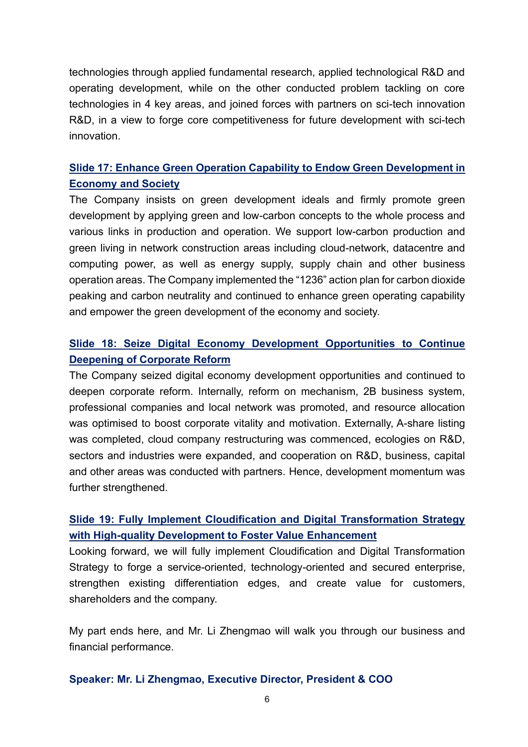technologies through applied fundamental research, applied technological R&D and operating development, while on the other conducted problem tackling on core technologies in 4 key areas, and joined forces with partners on sci-tech innovation R&D, in a view to forge core competitiveness for future development with sci-tech innovation.

## **Slide 17: Enhance Green Operation Capability to Endow Green Development in Economy and Society**

The Company insists on green development ideals and firmly promote green development by applying green and low-carbon concepts to the whole process and various links in production and operation. We support low-carbon production and green living in network construction areas including cloud-network, datacentre and computing power, as well as energy supply, supply chain and other business operation areas. The Company implemented the "1236" action plan for carbon dioxide peaking and carbon neutrality and continued to enhance green operating capability and empower the green development of the economy and society.

## **Slide 18: Seize Digital Economy Development Opportunities to Continue Deepening of Corporate Reform**

The Company seized digital economy development opportunities and continued to deepen corporate reform. Internally, reform on mechanism, 2B business system, professional companies and local network was promoted, and resource allocation was optimised to boost corporate vitality and motivation. Externally, A-share listing was completed, cloud company restructuring was commenced, ecologies on R&D, sectors and industries were expanded, and cooperation on R&D, business, capital and other areas was conducted with partners. Hence, development momentum was further strengthened.

## **Slide 19: Fully Implement Cloudification and Digital Transformation Strategy with High-quality Development to Foster Value Enhancement**

Looking forward, we will fully implement Cloudification and Digital Transformation Strategy to forge a service-oriented, technology-oriented and secured enterprise, strengthen existing differentiation edges, and create value for customers, shareholders and the company.

My part ends here, and Mr. Li Zhengmao will walk you through our business and financial performance.

#### **Speaker: Mr. Li Zhengmao, Executive Director, President & COO**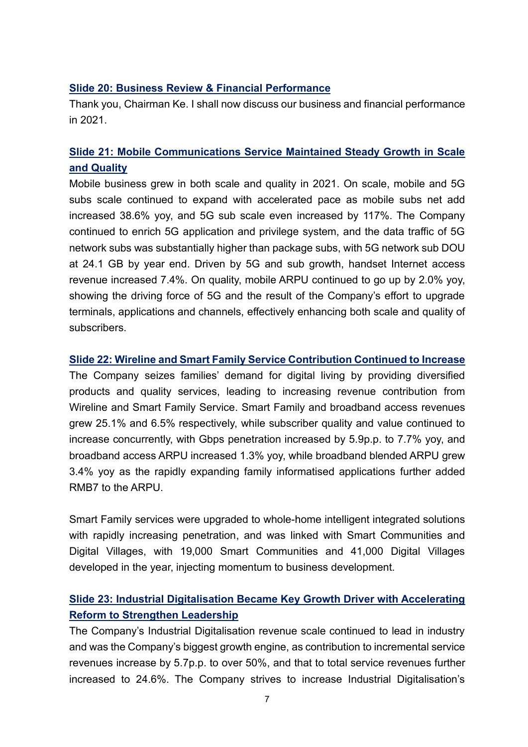### **Slide 20: Business Review & Financial Performance**

Thank you, Chairman Ke. I shall now discuss our business and financial performance in 2021.

## **Slide 21: Mobile Communications Service Maintained Steady Growth in Scale and Quality**

Mobile business grew in both scale and quality in 2021. On scale, mobile and 5G subs scale continued to expand with accelerated pace as mobile subs net add increased 38.6% yoy, and 5G sub scale even increased by 117%. The Company continued to enrich 5G application and privilege system, and the data traffic of 5G network subs was substantially higher than package subs, with 5G network sub DOU at 24.1 GB by year end. Driven by 5G and sub growth, handset Internet access revenue increased 7.4%. On quality, mobile ARPU continued to go up by 2.0% yoy, showing the driving force of 5G and the result of the Company's effort to upgrade terminals, applications and channels, effectively enhancing both scale and quality of subscribers.

#### **Slide 22: Wireline and Smart Family Service Contribution Continued to Increase**

The Company seizes families' demand for digital living by providing diversified products and quality services, leading to increasing revenue contribution from Wireline and Smart Family Service. Smart Family and broadband access revenues grew 25.1% and 6.5% respectively, while subscriber quality and value continued to increase concurrently, with Gbps penetration increased by 5.9p.p. to 7.7% yoy, and broadband access ARPU increased 1.3% yoy, while broadband blended ARPU grew 3.4% yoy as the rapidly expanding family informatised applications further added RMB7 to the ARPU.

Smart Family services were upgraded to whole-home intelligent integrated solutions with rapidly increasing penetration, and was linked with Smart Communities and Digital Villages, with 19,000 Smart Communities and 41,000 Digital Villages developed in the year, injecting momentum to business development.

## **Slide 23: Industrial Digitalisation Became Key Growth Driver with Accelerating Reform to Strengthen Leadership**

The Company's Industrial Digitalisation revenue scale continued to lead in industry and was the Company's biggest growth engine, as contribution to incremental service revenues increase by 5.7p.p. to over 50%, and that to total service revenues further increased to 24.6%. The Company strives to increase Industrial Digitalisation's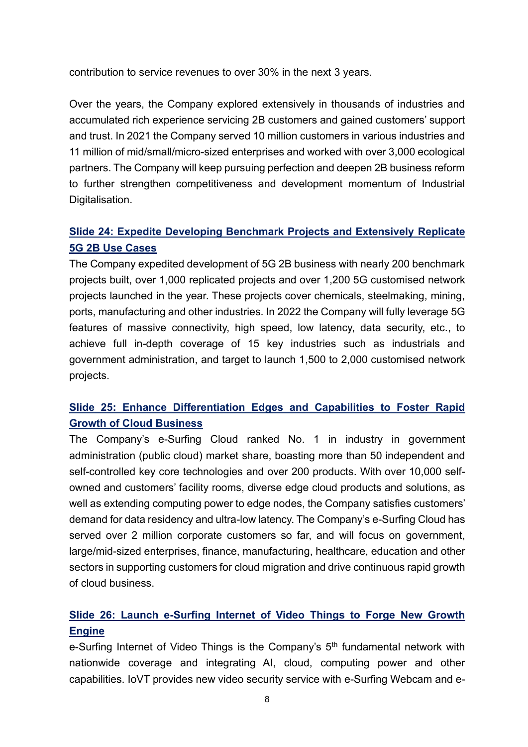contribution to service revenues to over 30% in the next 3 years.

Over the years, the Company explored extensively in thousands of industries and accumulated rich experience servicing 2B customers and gained customers' support and trust. In 2021 the Company served 10 million customers in various industries and 11 million of mid/small/micro-sized enterprises and worked with over 3,000 ecological partners. The Company will keep pursuing perfection and deepen 2B business reform to further strengthen competitiveness and development momentum of Industrial Digitalisation.

# **Slide 24: Expedite Developing Benchmark Projects and Extensively Replicate 5G 2B Use Cases**

The Company expedited development of 5G 2B business with nearly 200 benchmark projects built, over 1,000 replicated projects and over 1,200 5G customised network projects launched in the year. These projects cover chemicals, steelmaking, mining, ports, manufacturing and other industries. In 2022 the Company will fully leverage 5G features of massive connectivity, high speed, low latency, data security, etc., to achieve full in-depth coverage of 15 key industries such as industrials and government administration, and target to launch 1,500 to 2,000 customised network projects.

## **Slide 25: Enhance Differentiation Edges and Capabilities to Foster Rapid Growth of Cloud Business**

The Company's e-Surfing Cloud ranked No. 1 in industry in government administration (public cloud) market share, boasting more than 50 independent and self-controlled key core technologies and over 200 products. With over 10,000 selfowned and customers' facility rooms, diverse edge cloud products and solutions, as well as extending computing power to edge nodes, the Company satisfies customers' demand for data residency and ultra-low latency. The Company's e-Surfing Cloud has served over 2 million corporate customers so far, and will focus on government, large/mid-sized enterprises, finance, manufacturing, healthcare, education and other sectors in supporting customers for cloud migration and drive continuous rapid growth of cloud business.

## **Slide 26: Launch e-Surfing Internet of Video Things to Forge New Growth Engine**

e-Surfing Internet of Video Things is the Company's 5<sup>th</sup> fundamental network with nationwide coverage and integrating AI, cloud, computing power and other capabilities. IoVT provides new video security service with e-Surfing Webcam and e-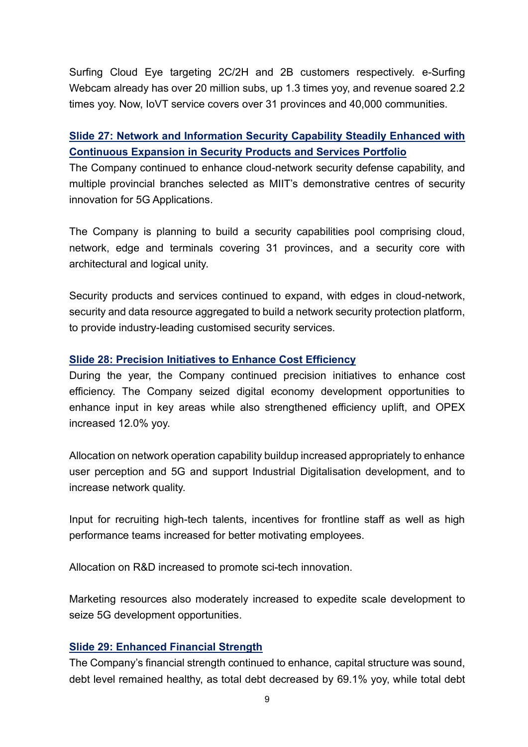Surfing Cloud Eye targeting 2C/2H and 2B customers respectively. e-Surfing Webcam already has over 20 million subs, up 1.3 times yoy, and revenue soared 2.2 times yoy. Now, IoVT service covers over 31 provinces and 40,000 communities.

## **Slide 27: Network and Information Security Capability Steadily Enhanced with Continuous Expansion in Security Products and Services Portfolio**

The Company continued to enhance cloud-network security defense capability, and multiple provincial branches selected as MIIT's demonstrative centres of security innovation for 5G Applications.

The Company is planning to build a security capabilities pool comprising cloud, network, edge and terminals covering 31 provinces, and a security core with architectural and logical unity.

Security products and services continued to expand, with edges in cloud-network, security and data resource aggregated to build a network security protection platform, to provide industry-leading customised security services.

### **Slide 28: Precision Initiatives to Enhance Cost Efficiency**

During the year, the Company continued precision initiatives to enhance cost efficiency. The Company seized digital economy development opportunities to enhance input in key areas while also strengthened efficiency uplift, and OPEX increased 12.0% yoy.

Allocation on network operation capability buildup increased appropriately to enhance user perception and 5G and support Industrial Digitalisation development, and to increase network quality.

Input for recruiting high-tech talents, incentives for frontline staff as well as high performance teams increased for better motivating employees.

Allocation on R&D increased to promote sci-tech innovation.

Marketing resources also moderately increased to expedite scale development to seize 5G development opportunities.

### **Slide 29: Enhanced Financial Strength**

The Company's financial strength continued to enhance, capital structure was sound, debt level remained healthy, as total debt decreased by 69.1% yoy, while total debt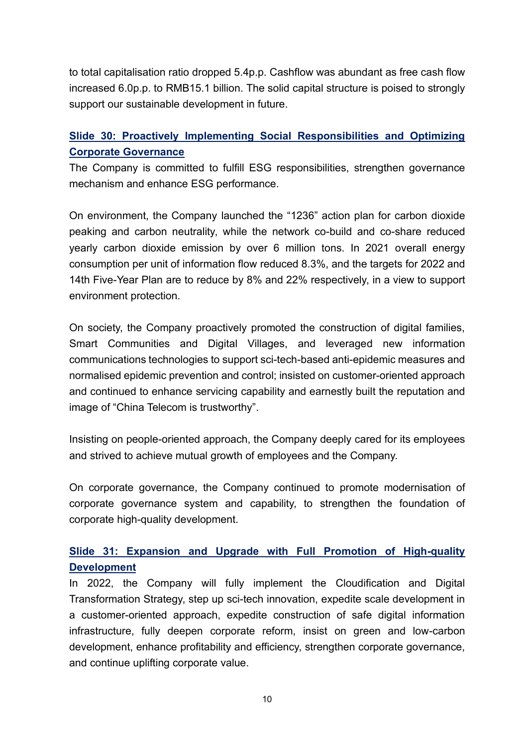to total capitalisation ratio dropped 5.4p.p. Cashflow was abundant as free cash flow increased 6.0p.p. to RMB15.1 billion. The solid capital structure is poised to strongly support our sustainable development in future.

# **Slide 30: Proactively Implementing Social Responsibilities and Optimizing Corporate Governance**

The Company is committed to fulfill ESG responsibilities, strengthen governance mechanism and enhance ESG performance.

On environment, the Company launched the "1236" action plan for carbon dioxide peaking and carbon neutrality, while the network co-build and co-share reduced yearly carbon dioxide emission by over 6 million tons. In 2021 overall energy consumption per unit of information flow reduced 8.3%, and the targets for 2022 and 14th Five-Year Plan are to reduce by 8% and 22% respectively, in a view to support environment protection.

On society, the Company proactively promoted the construction of digital families, Smart Communities and Digital Villages, and leveraged new information communications technologies to support sci-tech-based anti-epidemic measures and normalised epidemic prevention and control; insisted on customer-oriented approach and continued to enhance servicing capability and earnestly built the reputation and image of "China Telecom is trustworthy".

Insisting on people-oriented approach, the Company deeply cared for its employees and strived to achieve mutual growth of employees and the Company.

On corporate governance, the Company continued to promote modernisation of corporate governance system and capability, to strengthen the foundation of corporate high-quality development.

## **Slide 31: Expansion and Upgrade with Full Promotion of High-quality Development**

In 2022, the Company will fully implement the Cloudification and Digital Transformation Strategy, step up sci-tech innovation, expedite scale development in a customer-oriented approach, expedite construction of safe digital information infrastructure, fully deepen corporate reform, insist on green and low-carbon development, enhance profitability and efficiency, strengthen corporate governance, and continue uplifting corporate value.